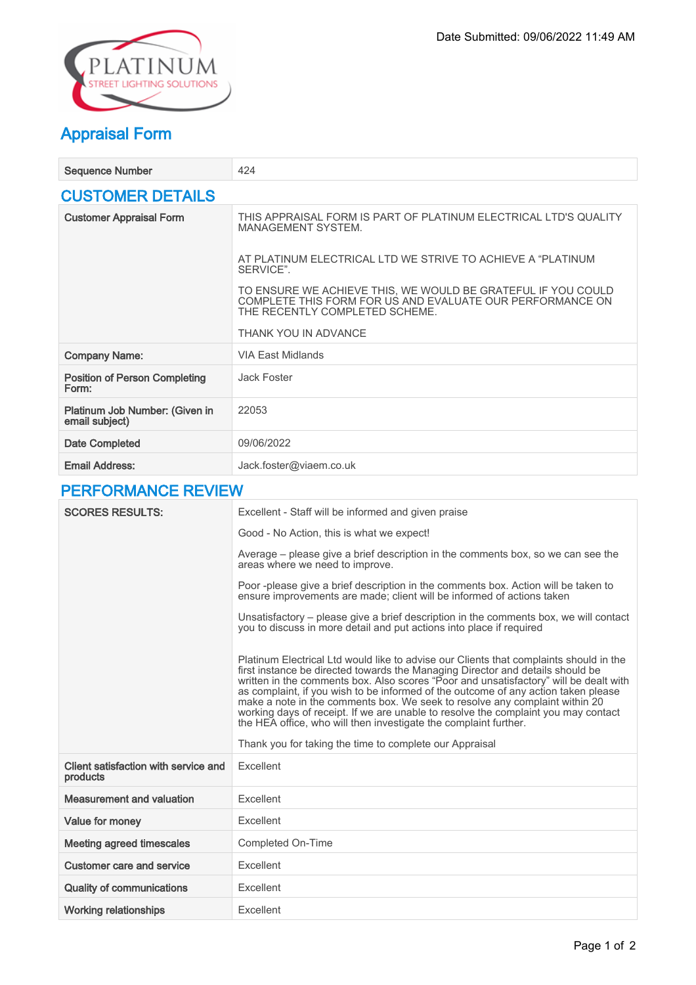

## Appraisal Form

| <b>Sequence Number</b>                           | 424                                                                                                                                                         |  |
|--------------------------------------------------|-------------------------------------------------------------------------------------------------------------------------------------------------------------|--|
| <b>CUSTOMER DETAILS</b>                          |                                                                                                                                                             |  |
| <b>Customer Appraisal Form</b>                   | THIS APPRAISAL FORM IS PART OF PLATINUM ELECTRICAL LTD'S QUALITY<br><b>MANAGEMENT SYSTEM.</b>                                                               |  |
|                                                  | AT PLATINUM ELECTRICAL LTD WE STRIVE TO ACHIEVE A "PLATINUM<br>SFRVICF"                                                                                     |  |
|                                                  | TO ENSURE WE ACHIEVE THIS, WE WOULD BE GRATEFUL IF YOU COULD<br>COMPLETE THIS FORM FOR US AND EVALUATE OUR PERFORMANCE ON<br>THE RECENTLY COMPLETED SCHEME. |  |
|                                                  | THANK YOU IN ADVANCE                                                                                                                                        |  |
| <b>Company Name:</b>                             | VIA Fast Midlands                                                                                                                                           |  |
| <b>Position of Person Completing</b><br>Form:    | Jack Foster                                                                                                                                                 |  |
| Platinum Job Number: (Given in<br>email subject) | 22053                                                                                                                                                       |  |
| Date Completed                                   | 09/06/2022                                                                                                                                                  |  |
| <b>Email Address:</b>                            | Jack.foster@viaem.co.uk                                                                                                                                     |  |

## PERFORMANCE REVIEW

| <b>SCORES RESULTS:</b>                           | Excellent - Staff will be informed and given praise                                                                                                                                                                                                                                                                                                                                                                                                                                                                                                                                              |
|--------------------------------------------------|--------------------------------------------------------------------------------------------------------------------------------------------------------------------------------------------------------------------------------------------------------------------------------------------------------------------------------------------------------------------------------------------------------------------------------------------------------------------------------------------------------------------------------------------------------------------------------------------------|
|                                                  | Good - No Action, this is what we expect!                                                                                                                                                                                                                                                                                                                                                                                                                                                                                                                                                        |
|                                                  | Average – please give a brief description in the comments box, so we can see the<br>areas where we need to improve.                                                                                                                                                                                                                                                                                                                                                                                                                                                                              |
|                                                  | Poor -please give a brief description in the comments box. Action will be taken to<br>ensure improvements are made; client will be informed of actions taken                                                                                                                                                                                                                                                                                                                                                                                                                                     |
|                                                  | Unsatisfactory – please give a brief description in the comments box, we will contact<br>you to discuss in more detail and put actions into place if required                                                                                                                                                                                                                                                                                                                                                                                                                                    |
|                                                  | Platinum Electrical Ltd would like to advise our Clients that complaints should in the<br>first instance be directed towards the Managing Director and details should be<br>written in the comments box. Also scores "Poor and unsatisfactory" will be dealt with<br>as complaint, if you wish to be informed of the outcome of any action taken please<br>make a note in the comments box. We seek to resolve any complaint within 20<br>working days of receipt. If we are unable to resolve the complaint you may contact<br>the HEA office, who will then investigate the complaint further. |
|                                                  | Thank you for taking the time to complete our Appraisal                                                                                                                                                                                                                                                                                                                                                                                                                                                                                                                                          |
| Client satisfaction with service and<br>products | Excellent                                                                                                                                                                                                                                                                                                                                                                                                                                                                                                                                                                                        |
| <b>Measurement and valuation</b>                 | Excellent                                                                                                                                                                                                                                                                                                                                                                                                                                                                                                                                                                                        |
| <b>Value for money</b>                           | Excellent                                                                                                                                                                                                                                                                                                                                                                                                                                                                                                                                                                                        |
| <b>Meeting agreed timescales</b>                 | <b>Completed On-Time</b>                                                                                                                                                                                                                                                                                                                                                                                                                                                                                                                                                                         |
| Customer care and service                        | Excellent                                                                                                                                                                                                                                                                                                                                                                                                                                                                                                                                                                                        |
| <b>Quality of communications</b>                 | Excellent                                                                                                                                                                                                                                                                                                                                                                                                                                                                                                                                                                                        |
| <b>Working relationships</b>                     | Excellent                                                                                                                                                                                                                                                                                                                                                                                                                                                                                                                                                                                        |